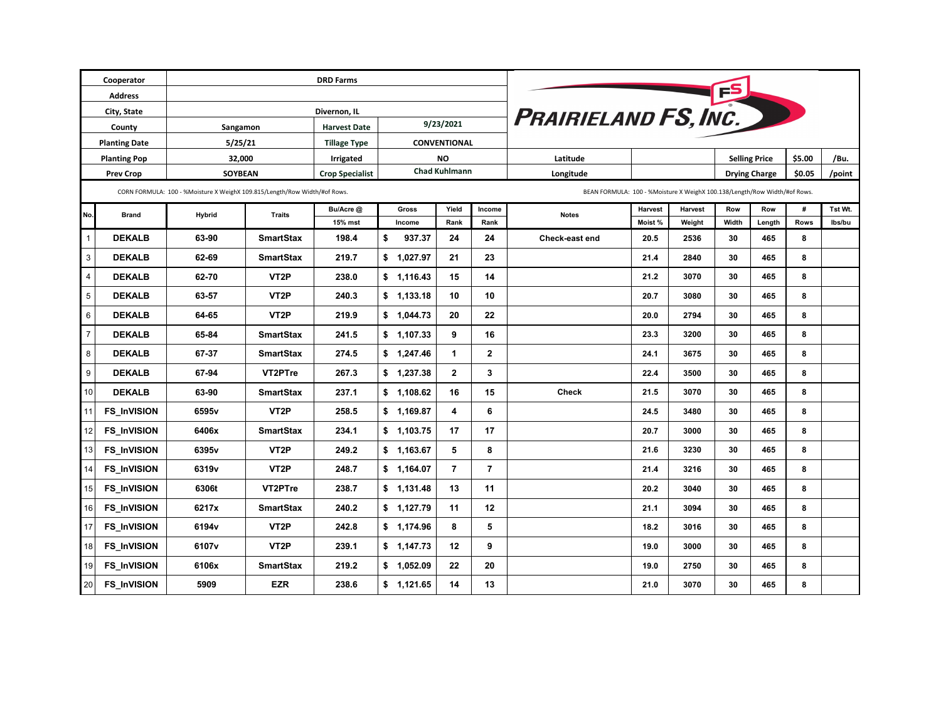|                         | Cooperator         |                                                                           |                   |                             |                      |              |                |                                                                           |         |                      |       |                      |        |         |
|-------------------------|--------------------|---------------------------------------------------------------------------|-------------------|-----------------------------|----------------------|--------------|----------------|---------------------------------------------------------------------------|---------|----------------------|-------|----------------------|--------|---------|
| <b>Address</b>          |                    |                                                                           |                   |                             |                      |              |                |                                                                           |         |                      |       |                      |        |         |
|                         | City, State        |                                                                           |                   | <b>PRAIRIELAND FS, INC.</b> |                      |              |                |                                                                           |         |                      |       |                      |        |         |
| County                  |                    | <b>Harvest Date</b><br>Sangamon                                           |                   |                             | 9/23/2021            |              |                |                                                                           |         |                      |       |                      |        |         |
| <b>Planting Date</b>    |                    | 5/25/21                                                                   |                   | <b>Tillage Type</b>         | CONVENTIONAL         |              |                |                                                                           |         |                      |       |                      |        |         |
| <b>Planting Pop</b>     |                    | 32,000                                                                    |                   | Irrigated                   | NO                   |              |                | Latitude                                                                  |         |                      |       | <b>Selling Price</b> | \$5.00 | /Bu.    |
| <b>Prev Crop</b>        |                    | <b>SOYBEAN</b>                                                            |                   | <b>Crop Specialist</b>      | <b>Chad Kuhlmann</b> |              |                | Longitude                                                                 |         | <b>Drying Charge</b> |       |                      | \$0.05 | /point  |
|                         |                    | CORN FORMULA: 100 - %Moisture X WeighX 109.815/Length/Row Width/#of Rows. |                   |                             |                      |              |                | BEAN FORMULA: 100 - %Moisture X WeighX 100.138/Length/Row Width/#of Rows. |         |                      |       |                      |        |         |
| No.                     | <b>Brand</b>       | <b>Hybrid</b>                                                             | <b>Traits</b>     | Bu/Acre @                   | Gross                | Yield        | Income         | <b>Notes</b>                                                              | Harvest | Harvest              | Row   | Row                  | #      | Tst Wt. |
|                         |                    |                                                                           |                   | 15% mst                     | Income               | Rank         | Rank           |                                                                           | Moist % | Weight               | Width | Length               | Rows   | Ibs/bu  |
| $\mathbf{1}$            | <b>DEKALB</b>      | 63-90                                                                     | <b>SmartStax</b>  | 198.4                       | \$<br>937.37         | 24           | 24             | Check-east end                                                            | 20.5    | 2536                 | 30    | 465                  | 8      |         |
| $\mathbf{3}$            | <b>DEKALB</b>      | 62-69                                                                     | <b>SmartStax</b>  | 219.7                       | \$<br>1,027.97       | 21           | 23             |                                                                           | 21.4    | 2840                 | 30    | 465                  | 8      |         |
| $\overline{\mathbf{4}}$ | <b>DEKALB</b>      | 62-70                                                                     | VT <sub>2</sub> P | 238.0                       | \$1,116.43           | 15           | 14             |                                                                           | 21.2    | 3070                 | 30    | 465                  | 8      |         |
| $5\phantom{.0}$         | <b>DEKALB</b>      | 63-57                                                                     | VT <sub>2</sub> P | 240.3                       | \$<br>1,133.18       | 10           | 10             |                                                                           | 20.7    | 3080                 | 30    | 465                  | 8      |         |
| 6                       | <b>DEKALB</b>      | 64-65                                                                     | VT <sub>2</sub> P | 219.9                       | \$1,044.73           | 20           | 22             |                                                                           | 20.0    | 2794                 | 30    | 465                  | 8      |         |
| $\boldsymbol{7}$        | <b>DEKALB</b>      | 65-84                                                                     | <b>SmartStax</b>  | 241.5                       | \$ 1,107.33          | 9            | 16             |                                                                           | 23.3    | 3200                 | 30    | 465                  | 8      |         |
| 8                       | <b>DEKALB</b>      | 67-37                                                                     | <b>SmartStax</b>  | 274.5                       | \$1,247.46           | 1            | $\mathbf{2}$   |                                                                           | 24.1    | 3675                 | 30    | 465                  | 8      |         |
| 9                       | <b>DEKALB</b>      | 67-94                                                                     | VT2PTre           | 267.3                       | \$<br>1,237.38       | $\mathbf{2}$ | 3              |                                                                           | 22.4    | 3500                 | 30    | 465                  | 8      |         |
| 10                      | <b>DEKALB</b>      | 63-90                                                                     | <b>SmartStax</b>  | 237.1                       | \$1,108.62           | 16           | 15             | <b>Check</b>                                                              | 21.5    | 3070                 | 30    | 465                  | 8      |         |
| 11                      | <b>FS_InVISION</b> | 6595v                                                                     | VT <sub>2</sub> P | 258.5                       | \$1,169.87           | 4            | 6              |                                                                           | 24.5    | 3480                 | 30    | 465                  | 8      |         |
| 12                      | <b>FS_InVISION</b> | 6406x                                                                     | <b>SmartStax</b>  | 234.1                       | \$1,103.75           | 17           | 17             |                                                                           | 20.7    | 3000                 | 30    | 465                  | 8      |         |
| 13                      | FS_InVISION        | 6395v                                                                     | VT <sub>2</sub> P | 249.2                       | \$ 1,163.67          | 5            | 8              |                                                                           | 21.6    | 3230                 | 30    | 465                  | 8      |         |
| 14                      | <b>FS_InVISION</b> | 6319 <sub>v</sub>                                                         | VT <sub>2</sub> P | 248.7                       | \$1,164.07           | 7            | $\overline{7}$ |                                                                           | 21.4    | 3216                 | 30    | 465                  | 8      |         |
| 15                      | FS_InVISION        | 6306t                                                                     | VT2PTre           | 238.7                       | \$1,131.48           | 13           | 11             |                                                                           | 20.2    | 3040                 | 30    | 465                  | 8      |         |
| 16                      | FS_InVISION        | 6217x                                                                     | <b>SmartStax</b>  | 240.2                       | \$<br>1,127.79       | 11           | 12             |                                                                           | 21.1    | 3094                 | 30    | 465                  | 8      |         |
| 17                      | FS_InVISION        | 6194v                                                                     | VT <sub>2</sub> P | 242.8                       | \$1,174.96           | 8            | 5              |                                                                           | 18.2    | 3016                 | 30    | 465                  | 8      |         |
| 18                      | FS_InVISION        | 6107v                                                                     | VT <sub>2</sub> P | 239.1                       | \$1,147.73           | 12           | 9              |                                                                           | 19.0    | 3000                 | 30    | 465                  | 8      |         |
| 19                      | FS_InVISION        | 6106x                                                                     | <b>SmartStax</b>  | 219.2                       | \$ 1,052.09          | 22           | 20             |                                                                           | 19.0    | 2750                 | 30    | 465                  | 8      |         |
| $20\,$                  | FS_InVISION        | 5909                                                                      | <b>EZR</b>        | 238.6                       | \$1,121.65           | 14           | 13             |                                                                           | 21.0    | 3070                 | 30    | 465                  | 8      |         |